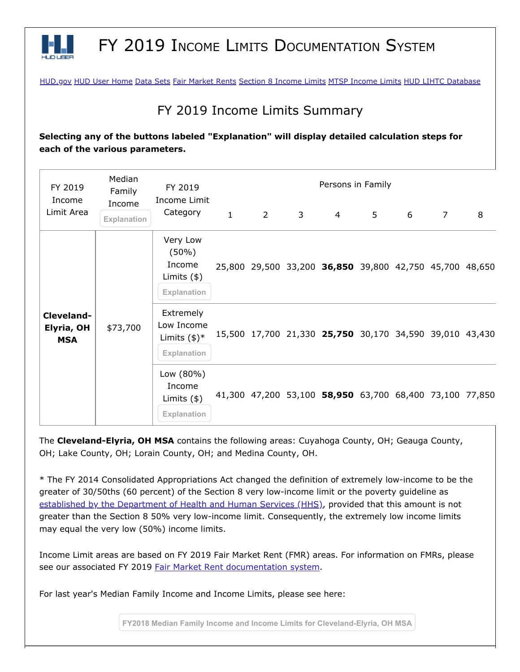

## FY 2019 INCOME LIMITS DOCUMENTATION SYSTEM

[HUD.gov](http://www.hud.gov/) [HUD User Home](http://www.huduser.org/portal/index.html) [Data Sets](http://www.huduser.org/portal/datasets/pdrdatas.html) [Fair Market Rents](http://www.huduser.org/portal/datasets/fmr.html) [Section 8 Income Limits](http://www.huduser.org/portal/datasets/il.html) [MTSP Income Limits](http://www.huduser.org/portal/datasets/mtsp.html) [HUD LIHTC Database](http://www.huduser.org/portal/datasets/lihtc.html)

## FY 2019 Income Limits Summary

**Selecting any of the buttons labeled "Explanation" will display detailed calculation steps for each of the various parameters.**

| FY 2019<br>Income<br>Limit Area        | Median<br>Family<br>Income<br>Explanation | FY 2019<br>Income Limit<br>Category                              | Persons in Family |             |              |                                                         |                |   |                |        |
|----------------------------------------|-------------------------------------------|------------------------------------------------------------------|-------------------|-------------|--------------|---------------------------------------------------------|----------------|---|----------------|--------|
|                                        |                                           |                                                                  | $\mathbf{1}$      | $2^{\circ}$ | $\mathbf{3}$ | $\overline{4}$                                          | 5 <sup>5</sup> | 6 | $\overline{7}$ | 8      |
| Cleveland-<br>Elyria, OH<br><b>MSA</b> | \$73,700                                  | Very Low<br>$(50\%)$<br>Income<br>Limits $(*)$<br>Explanation    |                   |             |              | 25,800 29,500 33,200 36,850 39,800 42,750 45,700        |                |   |                | 48,650 |
|                                        |                                           | Extremely<br>Low Income<br>Limits $(\$)^*$<br><b>Explanation</b> |                   |             |              | 15,500 17,700 21,330 25,750 30,170 34,590 39,010 43,430 |                |   |                |        |
|                                        |                                           | Low (80%)<br>Income<br>Limits $(*)$<br>Explanation               |                   |             |              | 41,300 47,200 53,100 58,950 63,700 68,400 73,100 77,850 |                |   |                |        |

The **Cleveland-Elyria, OH MSA** contains the following areas: Cuyahoga County, OH; Geauga County, OH; Lake County, OH; Lorain County, OH; and Medina County, OH.

\* The FY 2014 Consolidated Appropriations Act changed the definition of extremely low-income to be the greater of 30/50ths (60 percent) of the Section 8 very low-income limit or the poverty guideline as [established by the Department of Health and Human Services \(HHS\)](https://www.federalregister.gov/documents/2019/02/01/2019-00621/annual-update-of-the-hhs-poverty-guidelines), provided that this amount is not greater than the Section 8 50% very low-income limit. Consequently, the extremely low income limits may equal the very low (50%) income limits.

Income Limit areas are based on FY 2019 Fair Market Rent (FMR) areas. For information on FMRs, please see our associated FY 2019 [Fair Market Rent documentation system.](https://www.huduser.gov/portal/datasets/fmr.html#2019_query)

For last year's Median Family Income and Income Limits, please see here:

**FY2018 Median Family Income and Income Limits for Cleveland-Elyria, OH MSA**